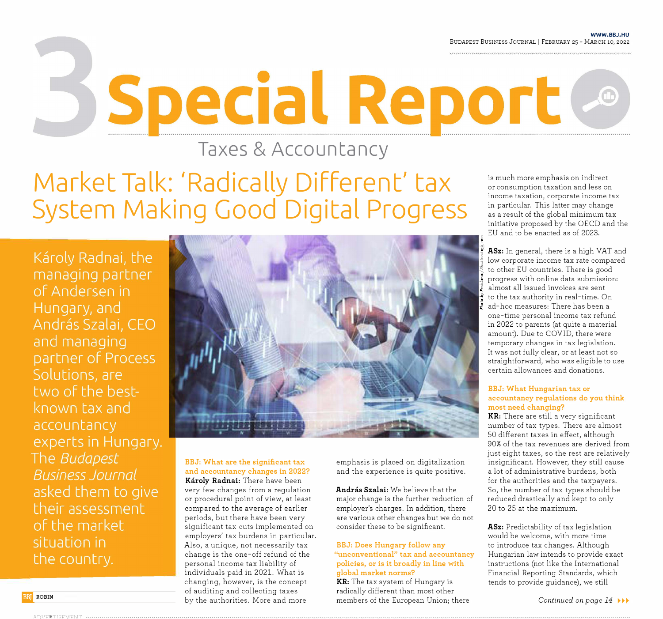**WWW.BBJ.HU**  BUDAPEST BUSINESS JOURNAL I FEBRUARY 25 - MARCH 10, 2022

**Taxes & Accountancy** 

Special Report &

# **Market Talk: 'Radically Different' tax System Making Good Digital Progress**

Károly Radnai, the managing partner of Andersen in Hungary, and András Szalai, CEO and managing partner of Process Solutions, are two of the bestknown tax and accountancy experts in Hungary. The Budapest **Business Journal** asked them to give their assessment of the market situation in the country.



**BBJ: What are the significant tax and accountancy changes in 2022?**  Károly Radnai: There have been very few changes from a regulation or procedural point of view, at least compared to the average of earlier periods, but there have been very significant tax cuts implemented on employers' tax burdens in particular. Also, a unique, not necessarily tax change is the one-off refund of the personal income tax liability of individuals paid in 2021. What is changing, however, is the concept of auditing and collecting taxes by the authorities. More and more

emphasis is placed on digitalization and the experience is quite positive.

**Andras Szalai:** We believe that the major change is the further reduction of employer's charges. In addition, there are various other changes but we do not consider these to be significant.

## **BBJ: Does Hungary follow any "unconventional" tax and accountancy policies, or is it broadly in line with global market norms?**

**KR:** The tax system of Hungary is radically different than most other members of the European Union; there

is much more emphasis on indirect or consumption taxation and less on income taxation, corporate income tax in particular. This latter may change as a result of the global minimum tax initiative proposed by the OECD and the EU and to be enacted as of 2023.

� **ASz:** In general, there is a high VAT and low corporate income tax rate compared � to other EU countries. There is good progress with online data submission: almost all issued invoices are sent to the tax authority in real-time. On<br>ad-hoc measures: There has been a one-time personal income tax refund in 2022 to parents (at quite a material amount). Due to COVID, there were temporary changes in tax legislation. It was not fully clear, or at least not so straightforward, who was eligible to use certain allowances and donations.

### **BBJ: What Hungarian tax or accountancy regulations do you think most need changing?**

**KR:** There are still a very significant number of tax types. There are almost 50 different taxes in effect, although 90% of the tax revenues are derived from just eight taxes, so the rest are relatively insignificant. However, they still cause a lot of administrative burdens, both for the authorities and the taxpayers. So, the number of tax types should be reduced drastically and kept to only 20 to 25 at the maximum.

**ASz:** Predictability of tax legislation would be welcome, with more time to introduce tax changes. Although Hungarian law intends to provide exact instructions (not like the International Financial Reporting Standards, which tends to provide guidance), we still

• ROBIN